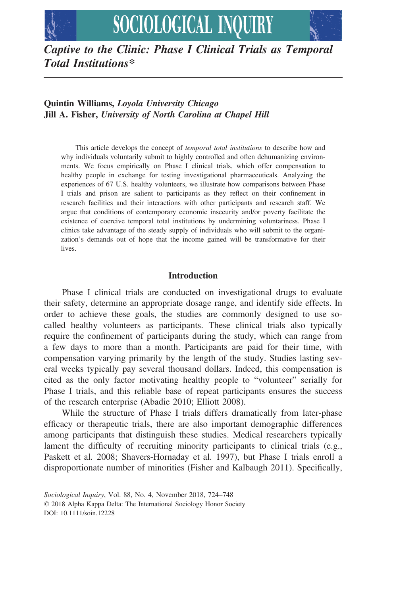



# Captive to the Clinic: Phase I Clinical Trials as Temporal Total Institutions\*

# Quintin Williams, Loyola University Chicago Jill A. Fisher, University of North Carolina at Chapel Hill

This article develops the concept of temporal total institutions to describe how and why individuals voluntarily submit to highly controlled and often dehumanizing environments. We focus empirically on Phase I clinical trials, which offer compensation to healthy people in exchange for testing investigational pharmaceuticals. Analyzing the experiences of 67 U.S. healthy volunteers, we illustrate how comparisons between Phase I trials and prison are salient to participants as they reflect on their confinement in research facilities and their interactions with other participants and research staff. We argue that conditions of contemporary economic insecurity and/or poverty facilitate the existence of coercive temporal total institutions by undermining voluntariness. Phase I clinics take advantage of the steady supply of individuals who will submit to the organization's demands out of hope that the income gained will be transformative for their lives.

## Introduction

Phase I clinical trials are conducted on investigational drugs to evaluate their safety, determine an appropriate dosage range, and identify side effects. In order to achieve these goals, the studies are commonly designed to use socalled healthy volunteers as participants. These clinical trials also typically require the confinement of participants during the study, which can range from a few days to more than a month. Participants are paid for their time, with compensation varying primarily by the length of the study. Studies lasting several weeks typically pay several thousand dollars. Indeed, this compensation is cited as the only factor motivating healthy people to "volunteer" serially for Phase I trials, and this reliable base of repeat participants ensures the success of the research enterprise (Abadie 2010; Elliott 2008).

While the structure of Phase I trials differs dramatically from later-phase efficacy or therapeutic trials, there are also important demographic differences among participants that distinguish these studies. Medical researchers typically lament the difficulty of recruiting minority participants to clinical trials (e.g., Paskett et al. 2008; Shavers-Hornaday et al. 1997), but Phase I trials enroll a disproportionate number of minorities (Fisher and Kalbaugh 2011). Specifically,

Sociological Inquiry, Vol. 88, No. 4, November 2018, 724–748 © 2018 Alpha Kappa Delta: The International Sociology Honor Society DOI: 10.1111/soin.12228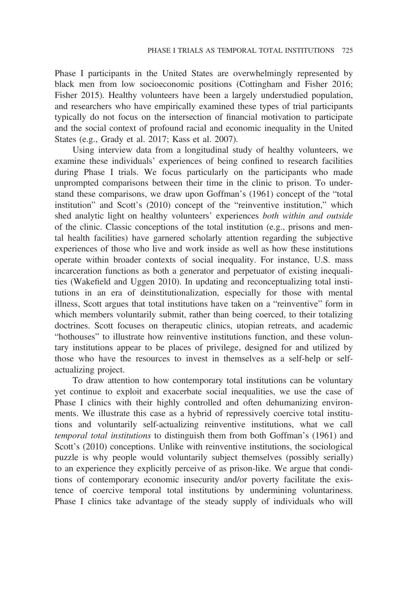Phase I participants in the United States are overwhelmingly represented by black men from low socioeconomic positions (Cottingham and Fisher 2016; Fisher 2015). Healthy volunteers have been a largely understudied population, and researchers who have empirically examined these types of trial participants typically do not focus on the intersection of financial motivation to participate and the social context of profound racial and economic inequality in the United States (e.g., Grady et al. 2017; Kass et al. 2007).

Using interview data from a longitudinal study of healthy volunteers, we examine these individuals' experiences of being confined to research facilities during Phase I trials. We focus particularly on the participants who made unprompted comparisons between their time in the clinic to prison. To understand these comparisons, we draw upon Goffman's (1961) concept of the "total institution" and Scott's (2010) concept of the "reinventive institution," which shed analytic light on healthy volunteers' experiences both within and outside of the clinic. Classic conceptions of the total institution (e.g., prisons and mental health facilities) have garnered scholarly attention regarding the subjective experiences of those who live and work inside as well as how these institutions operate within broader contexts of social inequality. For instance, U.S. mass incarceration functions as both a generator and perpetuator of existing inequalities (Wakefield and Uggen 2010). In updating and reconceptualizing total institutions in an era of deinstitutionalization, especially for those with mental illness, Scott argues that total institutions have taken on a "reinventive" form in which members voluntarily submit, rather than being coerced, to their totalizing doctrines. Scott focuses on therapeutic clinics, utopian retreats, and academic "hothouses" to illustrate how reinventive institutions function, and these voluntary institutions appear to be places of privilege, designed for and utilized by those who have the resources to invest in themselves as a self-help or selfactualizing project.

To draw attention to how contemporary total institutions can be voluntary yet continue to exploit and exacerbate social inequalities, we use the case of Phase I clinics with their highly controlled and often dehumanizing environments. We illustrate this case as a hybrid of repressively coercive total institutions and voluntarily self-actualizing reinventive institutions, what we call temporal total institutions to distinguish them from both Goffman's (1961) and Scott's (2010) conceptions. Unlike with reinventive institutions, the sociological puzzle is why people would voluntarily subject themselves (possibly serially) to an experience they explicitly perceive of as prison-like. We argue that conditions of contemporary economic insecurity and/or poverty facilitate the existence of coercive temporal total institutions by undermining voluntariness. Phase I clinics take advantage of the steady supply of individuals who will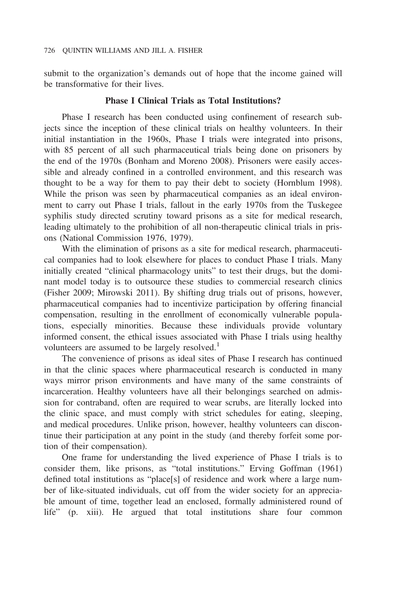submit to the organization's demands out of hope that the income gained will be transformative for their lives.

# Phase I Clinical Trials as Total Institutions?

Phase I research has been conducted using confinement of research subjects since the inception of these clinical trials on healthy volunteers. In their initial instantiation in the 1960s, Phase I trials were integrated into prisons, with 85 percent of all such pharmaceutical trials being done on prisoners by the end of the 1970s (Bonham and Moreno 2008). Prisoners were easily accessible and already confined in a controlled environment, and this research was thought to be a way for them to pay their debt to society (Hornblum 1998). While the prison was seen by pharmaceutical companies as an ideal environment to carry out Phase I trials, fallout in the early 1970s from the Tuskegee syphilis study directed scrutiny toward prisons as a site for medical research, leading ultimately to the prohibition of all non-therapeutic clinical trials in prisons (National Commission 1976, 1979).

With the elimination of prisons as a site for medical research, pharmaceutical companies had to look elsewhere for places to conduct Phase I trials. Many initially created "clinical pharmacology units" to test their drugs, but the dominant model today is to outsource these studies to commercial research clinics (Fisher 2009; Mirowski 2011). By shifting drug trials out of prisons, however, pharmaceutical companies had to incentivize participation by offering financial compensation, resulting in the enrollment of economically vulnerable populations, especially minorities. Because these individuals provide voluntary informed consent, the ethical issues associated with Phase I trials using healthy volunteers are assumed to be largely resolved.<sup>1</sup>

The convenience of prisons as ideal sites of Phase I research has continued in that the clinic spaces where pharmaceutical research is conducted in many ways mirror prison environments and have many of the same constraints of incarceration. Healthy volunteers have all their belongings searched on admission for contraband, often are required to wear scrubs, are literally locked into the clinic space, and must comply with strict schedules for eating, sleeping, and medical procedures. Unlike prison, however, healthy volunteers can discontinue their participation at any point in the study (and thereby forfeit some portion of their compensation).

One frame for understanding the lived experience of Phase I trials is to consider them, like prisons, as "total institutions." Erving Goffman (1961) defined total institutions as "place[s] of residence and work where a large number of like-situated individuals, cut off from the wider society for an appreciable amount of time, together lead an enclosed, formally administered round of life" (p. xiii). He argued that total institutions share four common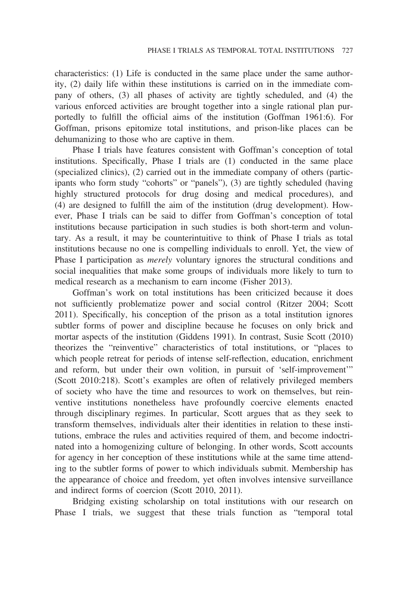characteristics: (1) Life is conducted in the same place under the same authority, (2) daily life within these institutions is carried on in the immediate company of others, (3) all phases of activity are tightly scheduled, and (4) the various enforced activities are brought together into a single rational plan purportedly to fulfill the official aims of the institution (Goffman 1961:6). For Goffman, prisons epitomize total institutions, and prison-like places can be dehumanizing to those who are captive in them.

Phase I trials have features consistent with Goffman's conception of total institutions. Specifically, Phase I trials are (1) conducted in the same place (specialized clinics), (2) carried out in the immediate company of others (participants who form study "cohorts" or "panels"), (3) are tightly scheduled (having highly structured protocols for drug dosing and medical procedures), and (4) are designed to fulfill the aim of the institution (drug development). However, Phase I trials can be said to differ from Goffman's conception of total institutions because participation in such studies is both short-term and voluntary. As a result, it may be counterintuitive to think of Phase I trials as total institutions because no one is compelling individuals to enroll. Yet, the view of Phase I participation as merely voluntary ignores the structural conditions and social inequalities that make some groups of individuals more likely to turn to medical research as a mechanism to earn income (Fisher 2013).

Goffman's work on total institutions has been criticized because it does not sufficiently problematize power and social control (Ritzer 2004; Scott 2011). Specifically, his conception of the prison as a total institution ignores subtler forms of power and discipline because he focuses on only brick and mortar aspects of the institution (Giddens 1991). In contrast, Susie Scott (2010) theorizes the "reinventive" characteristics of total institutions, or "places to which people retreat for periods of intense self-reflection, education, enrichment and reform, but under their own volition, in pursuit of 'self-improvement'" (Scott 2010:218). Scott's examples are often of relatively privileged members of society who have the time and resources to work on themselves, but reinventive institutions nonetheless have profoundly coercive elements enacted through disciplinary regimes. In particular, Scott argues that as they seek to transform themselves, individuals alter their identities in relation to these institutions, embrace the rules and activities required of them, and become indoctrinated into a homogenizing culture of belonging. In other words, Scott accounts for agency in her conception of these institutions while at the same time attending to the subtler forms of power to which individuals submit. Membership has the appearance of choice and freedom, yet often involves intensive surveillance and indirect forms of coercion (Scott 2010, 2011).

Bridging existing scholarship on total institutions with our research on Phase I trials, we suggest that these trials function as "temporal total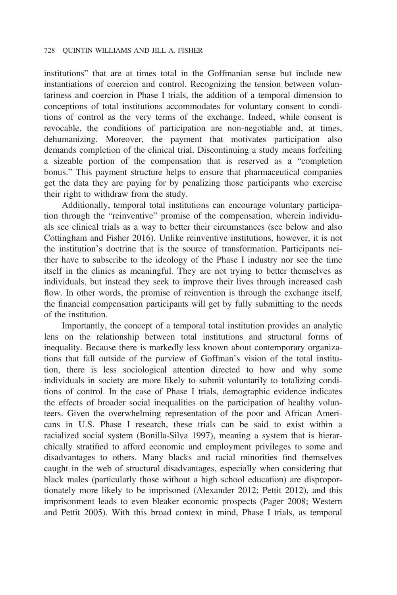institutions" that are at times total in the Goffmanian sense but include new instantiations of coercion and control. Recognizing the tension between voluntariness and coercion in Phase I trials, the addition of a temporal dimension to conceptions of total institutions accommodates for voluntary consent to conditions of control as the very terms of the exchange. Indeed, while consent is revocable, the conditions of participation are non-negotiable and, at times, dehumanizing. Moreover, the payment that motivates participation also demands completion of the clinical trial. Discontinuing a study means forfeiting a sizeable portion of the compensation that is reserved as a "completion bonus." This payment structure helps to ensure that pharmaceutical companies get the data they are paying for by penalizing those participants who exercise their right to withdraw from the study.

Additionally, temporal total institutions can encourage voluntary participation through the "reinventive" promise of the compensation, wherein individuals see clinical trials as a way to better their circumstances (see below and also Cottingham and Fisher 2016). Unlike reinventive institutions, however, it is not the institution's doctrine that is the source of transformation. Participants neither have to subscribe to the ideology of the Phase I industry nor see the time itself in the clinics as meaningful. They are not trying to better themselves as individuals, but instead they seek to improve their lives through increased cash flow. In other words, the promise of reinvention is through the exchange itself, the financial compensation participants will get by fully submitting to the needs of the institution.

Importantly, the concept of a temporal total institution provides an analytic lens on the relationship between total institutions and structural forms of inequality. Because there is markedly less known about contemporary organizations that fall outside of the purview of Goffman's vision of the total institution, there is less sociological attention directed to how and why some individuals in society are more likely to submit voluntarily to totalizing conditions of control. In the case of Phase I trials, demographic evidence indicates the effects of broader social inequalities on the participation of healthy volunteers. Given the overwhelming representation of the poor and African Americans in U.S. Phase I research, these trials can be said to exist within a racialized social system (Bonilla-Silva 1997), meaning a system that is hierarchically stratified to afford economic and employment privileges to some and disadvantages to others. Many blacks and racial minorities find themselves caught in the web of structural disadvantages, especially when considering that black males (particularly those without a high school education) are disproportionately more likely to be imprisoned (Alexander 2012; Pettit 2012), and this imprisonment leads to even bleaker economic prospects (Pager 2008; Western and Pettit 2005). With this broad context in mind, Phase I trials, as temporal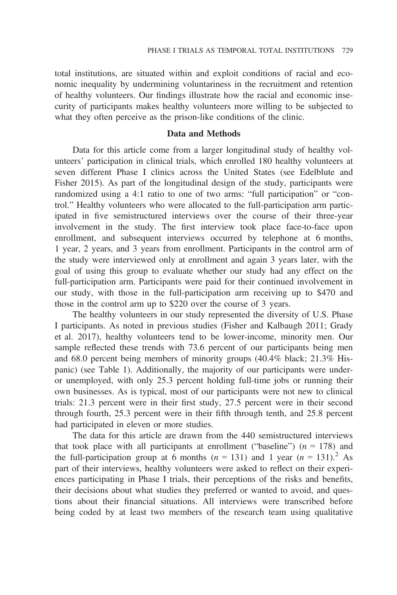total institutions, are situated within and exploit conditions of racial and economic inequality by undermining voluntariness in the recruitment and retention of healthy volunteers. Our findings illustrate how the racial and economic insecurity of participants makes healthy volunteers more willing to be subjected to what they often perceive as the prison-like conditions of the clinic.

# Data and Methods

Data for this article come from a larger longitudinal study of healthy volunteers' participation in clinical trials, which enrolled 180 healthy volunteers at seven different Phase I clinics across the United States (see Edelblute and Fisher 2015). As part of the longitudinal design of the study, participants were randomized using a 4:1 ratio to one of two arms: "full participation" or "control." Healthy volunteers who were allocated to the full-participation arm participated in five semistructured interviews over the course of their three-year involvement in the study. The first interview took place face-to-face upon enrollment, and subsequent interviews occurred by telephone at 6 months, 1 year, 2 years, and 3 years from enrollment. Participants in the control arm of the study were interviewed only at enrollment and again 3 years later, with the goal of using this group to evaluate whether our study had any effect on the full-participation arm. Participants were paid for their continued involvement in our study, with those in the full-participation arm receiving up to \$470 and those in the control arm up to \$220 over the course of 3 years.

The healthy volunteers in our study represented the diversity of U.S. Phase I participants. As noted in previous studies (Fisher and Kalbaugh 2011; Grady et al. 2017), healthy volunteers tend to be lower-income, minority men. Our sample reflected these trends with 73.6 percent of our participants being men and 68.0 percent being members of minority groups (40.4% black; 21.3% Hispanic) (see Table 1). Additionally, the majority of our participants were underor unemployed, with only 25.3 percent holding full-time jobs or running their own businesses. As is typical, most of our participants were not new to clinical trials: 21.3 percent were in their first study, 27.5 percent were in their second through fourth, 25.3 percent were in their fifth through tenth, and 25.8 percent had participated in eleven or more studies.

The data for this article are drawn from the 440 semistructured interviews that took place with all participants at enrollment ("baseline")  $(n = 178)$  and the full-participation group at 6 months ( $n = 131$ ) and 1 year ( $n = 131$ ).<sup>2</sup> As part of their interviews, healthy volunteers were asked to reflect on their experiences participating in Phase I trials, their perceptions of the risks and benefits, their decisions about what studies they preferred or wanted to avoid, and questions about their financial situations. All interviews were transcribed before being coded by at least two members of the research team using qualitative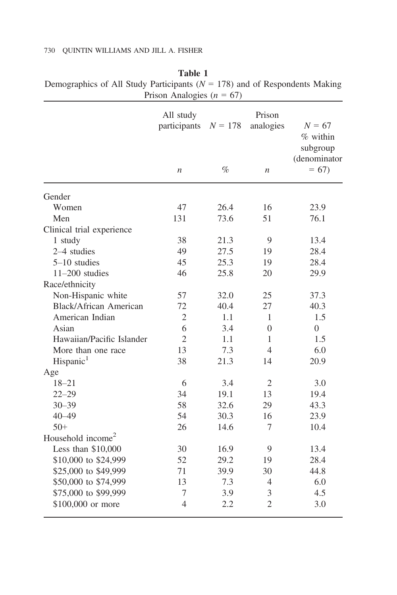| Prison Analogies ( $n = 67$ ) |                                               |                   |                                         |                                                              |  |  |  |
|-------------------------------|-----------------------------------------------|-------------------|-----------------------------------------|--------------------------------------------------------------|--|--|--|
|                               | All study<br>participants<br>$\boldsymbol{n}$ | $N = 178$<br>$\%$ | Prison<br>analogies<br>$\boldsymbol{n}$ | $N = 67$<br>$%$ within<br>subgroup<br>(denominator<br>$= 67$ |  |  |  |
|                               |                                               |                   |                                         |                                                              |  |  |  |
| Gender                        |                                               |                   |                                         |                                                              |  |  |  |
| Women                         | 47                                            | 26.4              | 16                                      | 23.9                                                         |  |  |  |
| Men                           | 131                                           | 73.6              | 51                                      | 76.1                                                         |  |  |  |
| Clinical trial experience     |                                               |                   |                                         |                                                              |  |  |  |
| 1 study                       | 38                                            | 21.3              | 9                                       | 13.4                                                         |  |  |  |
| 2-4 studies                   | 49                                            | 27.5              | 19                                      | 28.4                                                         |  |  |  |
| 5-10 studies                  | 45                                            | 25.3              | 19                                      | 28.4                                                         |  |  |  |
| $11-200$ studies              | 46                                            | 25.8              | 20                                      | 29.9                                                         |  |  |  |
| Race/ethnicity                |                                               |                   |                                         |                                                              |  |  |  |
| Non-Hispanic white            | 57                                            | 32.0              | 25                                      | 37.3                                                         |  |  |  |
| <b>Black/African American</b> | 72                                            | 40.4              | 27                                      | 40.3                                                         |  |  |  |
| American Indian               | $\overline{2}$                                | 1.1               | $\mathbf{1}$                            | 1.5                                                          |  |  |  |
| Asian                         | 6                                             | 3.4               | $\overline{0}$                          | $\boldsymbol{0}$                                             |  |  |  |
| Hawaiian/Pacific Islander     | $\overline{2}$                                | 1.1               | 1                                       | 1.5                                                          |  |  |  |
| More than one race            | 13                                            | 7.3               | $\overline{4}$                          | 6.0                                                          |  |  |  |
| Hispanic <sup>1</sup>         | 38                                            | 21.3              | 14                                      | 20.9                                                         |  |  |  |
| Age                           |                                               |                   |                                         |                                                              |  |  |  |
| $18 - 21$                     | 6                                             | 3.4               | $\mathfrak{2}$                          | 3.0                                                          |  |  |  |
| $22 - 29$                     | 34                                            | 19.1              | 13                                      | 19.4                                                         |  |  |  |
| $30 - 39$                     | 58                                            | 32.6              | 29                                      | 43.3                                                         |  |  |  |
| $40 - 49$                     | 54                                            | 30.3              | 16                                      | 23.9                                                         |  |  |  |
| $50+$                         | 26                                            | 14.6              | 7                                       | 10.4                                                         |  |  |  |
| Household income <sup>2</sup> |                                               |                   |                                         |                                                              |  |  |  |
| Less than \$10,000            | 30                                            | 16.9              | 9                                       | 13.4                                                         |  |  |  |
| \$10,000 to \$24,999          | 52                                            | 29.2              | 19                                      | 28.4                                                         |  |  |  |
| \$25,000 to \$49,999          | 71                                            | 39.9              | 30                                      | 44.8                                                         |  |  |  |
| \$50,000 to \$74,999          | 13                                            | 7.3               | 4                                       | 6.0                                                          |  |  |  |
| \$75,000 to \$99,999          | 7                                             | 3.9               | 3                                       | 4.5                                                          |  |  |  |
| \$100,000 or more             | $\overline{4}$                                | 2.2               | $\overline{2}$                          | 3.0                                                          |  |  |  |

# Table 1 Demographics of All Study Participants ( $N = 178$ ) and of Respondents Making Prison Analogies ( $n = 67$ )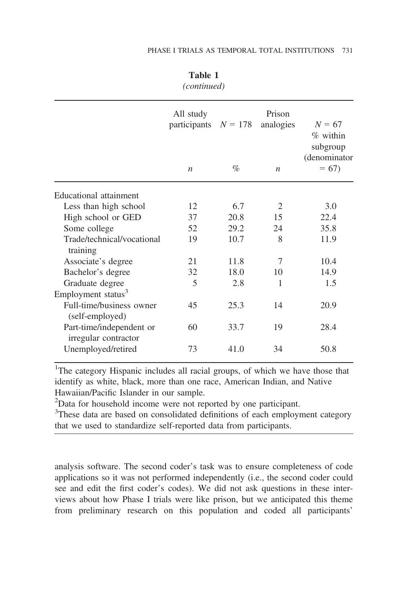|                                                  | All study<br>participants<br>$\boldsymbol{n}$ | $N = 178$<br>$\%$ | Prison<br>analogies<br>$\boldsymbol{n}$ | $N = 67$<br>$\%$ within<br>subgroup<br>(denominator<br>$= 67$ |
|--------------------------------------------------|-----------------------------------------------|-------------------|-----------------------------------------|---------------------------------------------------------------|
|                                                  |                                               |                   |                                         |                                                               |
| <b>Educational</b> attainment                    |                                               |                   |                                         |                                                               |
| Less than high school                            | 12                                            | 6.7               | 2                                       | 3.0                                                           |
| High school or GED                               | 37                                            | 20.8              | 15                                      | 22.4                                                          |
| Some college                                     | 52                                            | 29.2              | 24                                      | 35.8                                                          |
| Trade/technical/vocational<br>training           | 19                                            | 10.7              | 8                                       | 11.9                                                          |
| Associate's degree                               | 21                                            | 11.8              | 7                                       | 10.4                                                          |
| Bachelor's degree                                | 32                                            | 18.0              | 10                                      | 14.9                                                          |
| Graduate degree                                  | 5                                             | 2.8               | 1                                       | 1.5                                                           |
| Employment status <sup>3</sup>                   |                                               |                   |                                         |                                                               |
| Full-time/business owner<br>(self-employed)      | 45                                            | 25.3              | 14                                      | 20.9                                                          |
| Part-time/independent or<br>irregular contractor | 60                                            | 33.7              | 19                                      | 28.4                                                          |
| Unemployed/retired                               | 73                                            | 41.0              | 34                                      | 50.8                                                          |

Table 1 (continued)

<sup>1</sup>The category Hispanic includes all racial groups, of which we have those that identify as white, black, more than one race, American Indian, and Native Hawaiian/Pacific Islander in our sample. <sup>2</sup>

<sup>2</sup>Data for household income were not reported by one participant.

<sup>3</sup>These data are based on consolidated definitions of each employment category that we used to standardize self-reported data from participants.

analysis software. The second coder's task was to ensure completeness of code applications so it was not performed independently (i.e., the second coder could see and edit the first coder's codes). We did not ask questions in these interviews about how Phase I trials were like prison, but we anticipated this theme from preliminary research on this population and coded all participants'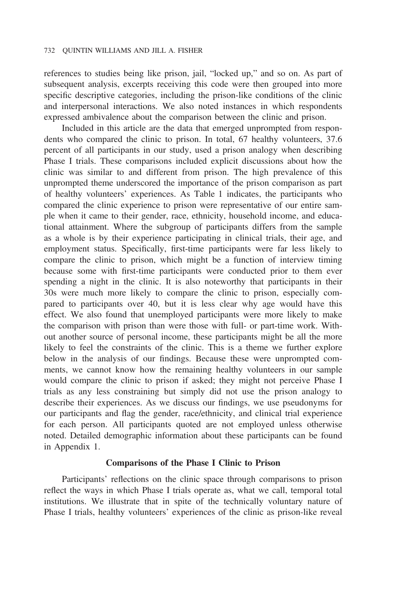references to studies being like prison, jail, "locked up," and so on. As part of subsequent analysis, excerpts receiving this code were then grouped into more specific descriptive categories, including the prison-like conditions of the clinic and interpersonal interactions. We also noted instances in which respondents expressed ambivalence about the comparison between the clinic and prison.

Included in this article are the data that emerged unprompted from respondents who compared the clinic to prison. In total, 67 healthy volunteers, 37.6 percent of all participants in our study, used a prison analogy when describing Phase I trials. These comparisons included explicit discussions about how the clinic was similar to and different from prison. The high prevalence of this unprompted theme underscored the importance of the prison comparison as part of healthy volunteers' experiences. As Table 1 indicates, the participants who compared the clinic experience to prison were representative of our entire sample when it came to their gender, race, ethnicity, household income, and educational attainment. Where the subgroup of participants differs from the sample as a whole is by their experience participating in clinical trials, their age, and employment status. Specifically, first-time participants were far less likely to compare the clinic to prison, which might be a function of interview timing because some with first-time participants were conducted prior to them ever spending a night in the clinic. It is also noteworthy that participants in their 30s were much more likely to compare the clinic to prison, especially compared to participants over 40, but it is less clear why age would have this effect. We also found that unemployed participants were more likely to make the comparison with prison than were those with full- or part-time work. Without another source of personal income, these participants might be all the more likely to feel the constraints of the clinic. This is a theme we further explore below in the analysis of our findings. Because these were unprompted comments, we cannot know how the remaining healthy volunteers in our sample would compare the clinic to prison if asked; they might not perceive Phase I trials as any less constraining but simply did not use the prison analogy to describe their experiences. As we discuss our findings, we use pseudonyms for our participants and flag the gender, race/ethnicity, and clinical trial experience for each person. All participants quoted are not employed unless otherwise noted. Detailed demographic information about these participants can be found in Appendix 1.

### Comparisons of the Phase I Clinic to Prison

Participants' reflections on the clinic space through comparisons to prison reflect the ways in which Phase I trials operate as, what we call, temporal total institutions. We illustrate that in spite of the technically voluntary nature of Phase I trials, healthy volunteers' experiences of the clinic as prison-like reveal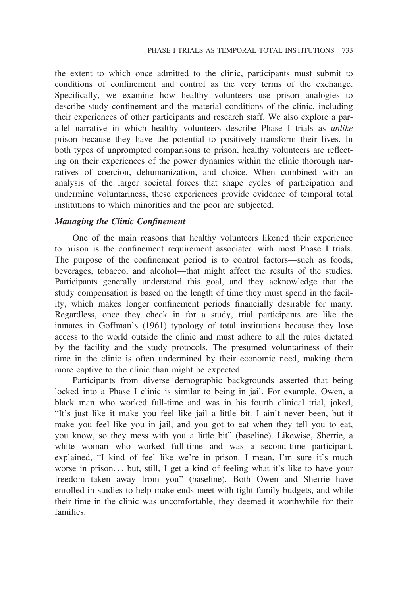the extent to which once admitted to the clinic, participants must submit to conditions of confinement and control as the very terms of the exchange. Specifically, we examine how healthy volunteers use prison analogies to describe study confinement and the material conditions of the clinic, including their experiences of other participants and research staff. We also explore a parallel narrative in which healthy volunteers describe Phase I trials as unlike prison because they have the potential to positively transform their lives. In both types of unprompted comparisons to prison, healthy volunteers are reflecting on their experiences of the power dynamics within the clinic thorough narratives of coercion, dehumanization, and choice. When combined with an analysis of the larger societal forces that shape cycles of participation and undermine voluntariness, these experiences provide evidence of temporal total institutions to which minorities and the poor are subjected.

# Managing the Clinic Confinement

One of the main reasons that healthy volunteers likened their experience to prison is the confinement requirement associated with most Phase I trials. The purpose of the confinement period is to control factors—such as foods, beverages, tobacco, and alcohol—that might affect the results of the studies. Participants generally understand this goal, and they acknowledge that the study compensation is based on the length of time they must spend in the facility, which makes longer confinement periods financially desirable for many. Regardless, once they check in for a study, trial participants are like the inmates in Goffman's (1961) typology of total institutions because they lose access to the world outside the clinic and must adhere to all the rules dictated by the facility and the study protocols. The presumed voluntariness of their time in the clinic is often undermined by their economic need, making them more captive to the clinic than might be expected.

Participants from diverse demographic backgrounds asserted that being locked into a Phase I clinic is similar to being in jail. For example, Owen, a black man who worked full-time and was in his fourth clinical trial, joked, "It's just like it make you feel like jail a little bit. I ain't never been, but it make you feel like you in jail, and you got to eat when they tell you to eat, you know, so they mess with you a little bit" (baseline). Likewise, Sherrie, a white woman who worked full-time and was a second-time participant, explained, "I kind of feel like we're in prison. I mean, I'm sure it's much worse in prison... but, still, I get a kind of feeling what it's like to have your freedom taken away from you" (baseline). Both Owen and Sherrie have enrolled in studies to help make ends meet with tight family budgets, and while their time in the clinic was uncomfortable, they deemed it worthwhile for their families.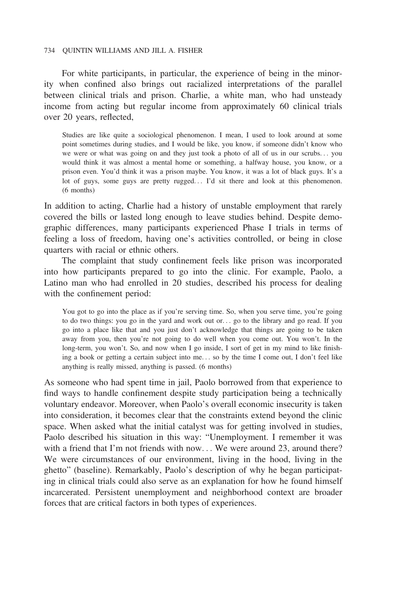For white participants, in particular, the experience of being in the minority when confined also brings out racialized interpretations of the parallel between clinical trials and prison. Charlie, a white man, who had unsteady income from acting but regular income from approximately 60 clinical trials over 20 years, reflected,

Studies are like quite a sociological phenomenon. I mean, I used to look around at some point sometimes during studies, and I would be like, you know, if someone didn't know who we were or what was going on and they just took a photo of all of us in our scrubs... you would think it was almost a mental home or something, a halfway house, you know, or a prison even. You'd think it was a prison maybe. You know, it was a lot of black guys. It's a lot of guys, some guys are pretty rugged... I'd sit there and look at this phenomenon. (6 months)

In addition to acting, Charlie had a history of unstable employment that rarely covered the bills or lasted long enough to leave studies behind. Despite demographic differences, many participants experienced Phase I trials in terms of feeling a loss of freedom, having one's activities controlled, or being in close quarters with racial or ethnic others.

The complaint that study confinement feels like prison was incorporated into how participants prepared to go into the clinic. For example, Paolo, a Latino man who had enrolled in 20 studies, described his process for dealing with the confinement period:

You got to go into the place as if you're serving time. So, when you serve time, you're going to do two things: you go in the yard and work out or... go to the library and go read. If you go into a place like that and you just don't acknowledge that things are going to be taken away from you, then you're not going to do well when you come out. You won't. In the long-term, you won't. So, and now when I go inside, I sort of get in my mind to like finishing a book or getting a certain subject into me... so by the time I come out, I don't feel like anything is really missed, anything is passed. (6 months)

As someone who had spent time in jail, Paolo borrowed from that experience to find ways to handle confinement despite study participation being a technically voluntary endeavor. Moreover, when Paolo's overall economic insecurity is taken into consideration, it becomes clear that the constraints extend beyond the clinic space. When asked what the initial catalyst was for getting involved in studies, Paolo described his situation in this way: "Unemployment. I remember it was with a friend that I'm not friends with now... We were around 23, around there? We were circumstances of our environment, living in the hood, living in the ghetto" (baseline). Remarkably, Paolo's description of why he began participating in clinical trials could also serve as an explanation for how he found himself incarcerated. Persistent unemployment and neighborhood context are broader forces that are critical factors in both types of experiences.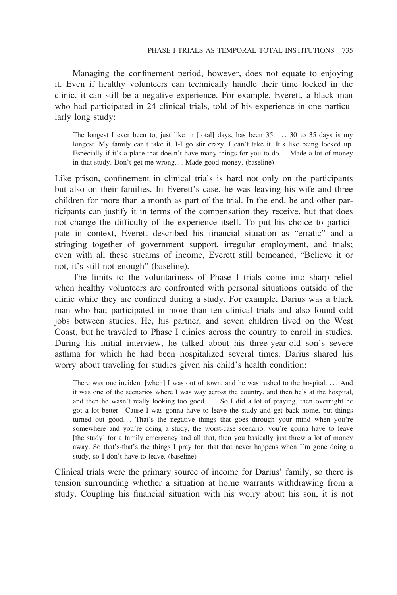Managing the confinement period, however, does not equate to enjoying it. Even if healthy volunteers can technically handle their time locked in the clinic, it can still be a negative experience. For example, Everett, a black man who had participated in 24 clinical trials, told of his experience in one particularly long study:

The longest I ever been to, just like in [total] days, has been 35. ... 30 to 35 days is my longest. My family can't take it. I-I go stir crazy. I can't take it. It's like being locked up. Especially if it's a place that doesn't have many things for you to do... Made a lot of money in that study. Don't get me wrong... Made good money. (baseline)

Like prison, confinement in clinical trials is hard not only on the participants but also on their families. In Everett's case, he was leaving his wife and three children for more than a month as part of the trial. In the end, he and other participants can justify it in terms of the compensation they receive, but that does not change the difficulty of the experience itself. To put his choice to participate in context, Everett described his financial situation as "erratic" and a stringing together of government support, irregular employment, and trials; even with all these streams of income, Everett still bemoaned, "Believe it or not, it's still not enough" (baseline).

The limits to the voluntariness of Phase I trials come into sharp relief when healthy volunteers are confronted with personal situations outside of the clinic while they are confined during a study. For example, Darius was a black man who had participated in more than ten clinical trials and also found odd jobs between studies. He, his partner, and seven children lived on the West Coast, but he traveled to Phase I clinics across the country to enroll in studies. During his initial interview, he talked about his three-year-old son's severe asthma for which he had been hospitalized several times. Darius shared his worry about traveling for studies given his child's health condition:

There was one incident [when] I was out of town, and he was rushed to the hospital. ... And it was one of the scenarios where I was way across the country, and then he's at the hospital, and then he wasn't really looking too good. ... So I did a lot of praying, then overnight he got a lot better. 'Cause I was gonna have to leave the study and get back home, but things turned out good... That's the negative things that goes through your mind when you're somewhere and you're doing a study, the worst-case scenario, you're gonna have to leave [the study] for a family emergency and all that, then you basically just threw a lot of money away. So that's-that's the things I pray for: that that never happens when I'm gone doing a study, so I don't have to leave. (baseline)

Clinical trials were the primary source of income for Darius' family, so there is tension surrounding whether a situation at home warrants withdrawing from a study. Coupling his financial situation with his worry about his son, it is not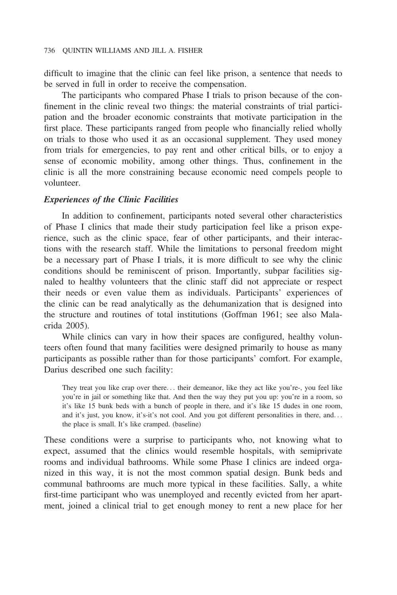difficult to imagine that the clinic can feel like prison, a sentence that needs to be served in full in order to receive the compensation.

The participants who compared Phase I trials to prison because of the confinement in the clinic reveal two things: the material constraints of trial participation and the broader economic constraints that motivate participation in the first place. These participants ranged from people who financially relied wholly on trials to those who used it as an occasional supplement. They used money from trials for emergencies, to pay rent and other critical bills, or to enjoy a sense of economic mobility, among other things. Thus, confinement in the clinic is all the more constraining because economic need compels people to volunteer.

# $E_{\text{eff}}$  is the Clinic Facilities

In addition to confinement, participants noted several other characteristics of Phase I clinics that made their study participation feel like a prison experience, such as the clinic space, fear of other participants, and their interactions with the research staff. While the limitations to personal freedom might be a necessary part of Phase I trials, it is more difficult to see why the clinic conditions should be reminiscent of prison. Importantly, subpar facilities signaled to healthy volunteers that the clinic staff did not appreciate or respect their needs or even value them as individuals. Participants' experiences of the clinic can be read analytically as the dehumanization that is designed into the structure and routines of total institutions (Goffman 1961; see also Malacrida 2005).

While clinics can vary in how their spaces are configured, healthy volunteers often found that many facilities were designed primarily to house as many participants as possible rather than for those participants' comfort. For example, Darius described one such facility:

They treat you like crap over there... their demeanor, like they act like you're-, you feel like you're in jail or something like that. And then the way they put you up: you're in a room, so it's like 15 bunk beds with a bunch of people in there, and it's like 15 dudes in one room, and it's just, you know, it's-it's not cool. And you got different personalities in there, and... the place is small. It's like cramped. (baseline)

These conditions were a surprise to participants who, not knowing what to expect, assumed that the clinics would resemble hospitals, with semiprivate rooms and individual bathrooms. While some Phase I clinics are indeed organized in this way, it is not the most common spatial design. Bunk beds and communal bathrooms are much more typical in these facilities. Sally, a white first-time participant who was unemployed and recently evicted from her apartment, joined a clinical trial to get enough money to rent a new place for her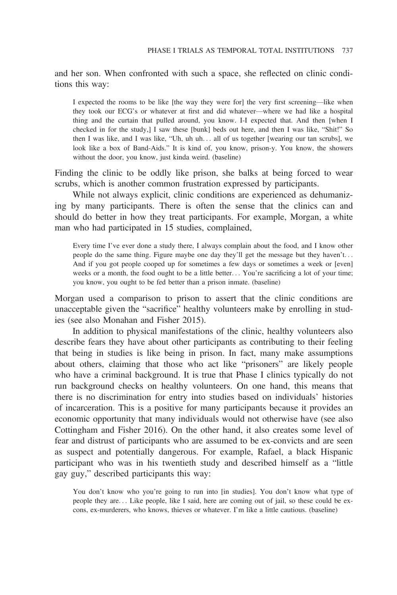and her son. When confronted with such a space, she reflected on clinic conditions this way:

I expected the rooms to be like [the way they were for] the very first screening—like when they took our ECG's or whatever at first and did whatever—where we had like a hospital thing and the curtain that pulled around, you know. I-I expected that. And then [when I checked in for the study,] I saw these [bunk] beds out here, and then I was like, "Shit!" So then I was like, and I was like, "Uh, uh uh... all of us together [wearing our tan scrubs], we look like a box of Band-Aids." It is kind of, you know, prison-y. You know, the showers without the door, you know, just kinda weird. (baseline)

Finding the clinic to be oddly like prison, she balks at being forced to wear scrubs, which is another common frustration expressed by participants.

While not always explicit, clinic conditions are experienced as dehumanizing by many participants. There is often the sense that the clinics can and should do better in how they treat participants. For example, Morgan, a white man who had participated in 15 studies, complained,

Every time I've ever done a study there, I always complain about the food, and I know other people do the same thing. Figure maybe one day they'll get the message but they haven't... And if you got people cooped up for sometimes a few days or sometimes a week or [even] weeks or a month, the food ought to be a little better... You're sacrificing a lot of your time; you know, you ought to be fed better than a prison inmate. (baseline)

Morgan used a comparison to prison to assert that the clinic conditions are unacceptable given the "sacrifice" healthy volunteers make by enrolling in studies (see also Monahan and Fisher 2015).

In addition to physical manifestations of the clinic, healthy volunteers also describe fears they have about other participants as contributing to their feeling that being in studies is like being in prison. In fact, many make assumptions about others, claiming that those who act like "prisoners" are likely people who have a criminal background. It is true that Phase I clinics typically do not run background checks on healthy volunteers. On one hand, this means that there is no discrimination for entry into studies based on individuals' histories of incarceration. This is a positive for many participants because it provides an economic opportunity that many individuals would not otherwise have (see also Cottingham and Fisher 2016). On the other hand, it also creates some level of fear and distrust of participants who are assumed to be ex-convicts and are seen as suspect and potentially dangerous. For example, Rafael, a black Hispanic participant who was in his twentieth study and described himself as a "little gay guy," described participants this way:

You don't know who you're going to run into [in studies]. You don't know what type of people they are... Like people, like I said, here are coming out of jail, so these could be excons, ex-murderers, who knows, thieves or whatever. I'm like a little cautious. (baseline)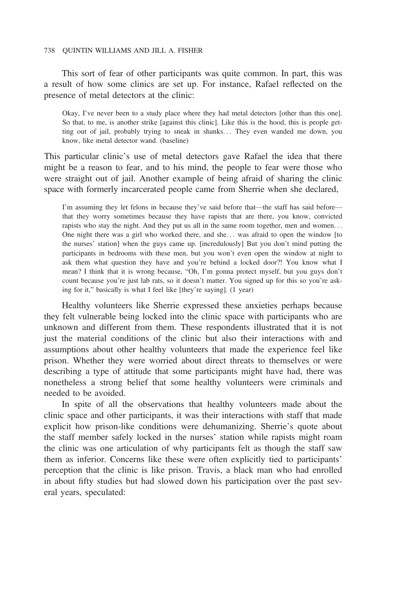This sort of fear of other participants was quite common. In part, this was a result of how some clinics are set up. For instance, Rafael reflected on the presence of metal detectors at the clinic:

Okay, I've never been to a study place where they had metal detectors [other than this one]. So that, to me, is another strike [against this clinic]. Like this is the hood, this is people getting out of jail, probably trying to sneak in shanks... They even wanded me down, you know, like metal detector wand. (baseline)

This particular clinic's use of metal detectors gave Rafael the idea that there might be a reason to fear, and to his mind, the people to fear were those who were straight out of jail. Another example of being afraid of sharing the clinic space with formerly incarcerated people came from Sherrie when she declared,

I'm assuming they let felons in because they've said before that—the staff has said before that they worry sometimes because they have rapists that are there, you know, convicted rapists who stay the night. And they put us all in the same room together, men and women... One night there was a girl who worked there, and she... was afraid to open the window [to the nurses' station] when the guys came up. [incredulously] But you don't mind putting the participants in bedrooms with these men, but you won't even open the window at night to ask them what question they have and you're behind a locked door?! You know what I mean? I think that it is wrong because, "Oh, I'm gonna protect myself, but you guys don't count because you're just lab rats, so it doesn't matter. You signed up for this so you're asking for it," basically is what I feel like [they're saying]. (1 year)

Healthy volunteers like Sherrie expressed these anxieties perhaps because they felt vulnerable being locked into the clinic space with participants who are unknown and different from them. These respondents illustrated that it is not just the material conditions of the clinic but also their interactions with and assumptions about other healthy volunteers that made the experience feel like prison. Whether they were worried about direct threats to themselves or were describing a type of attitude that some participants might have had, there was nonetheless a strong belief that some healthy volunteers were criminals and needed to be avoided.

In spite of all the observations that healthy volunteers made about the clinic space and other participants, it was their interactions with staff that made explicit how prison-like conditions were dehumanizing. Sherrie's quote about the staff member safely locked in the nurses' station while rapists might roam the clinic was one articulation of why participants felt as though the staff saw them as inferior. Concerns like these were often explicitly tied to participants' perception that the clinic is like prison. Travis, a black man who had enrolled in about fifty studies but had slowed down his participation over the past several years, speculated: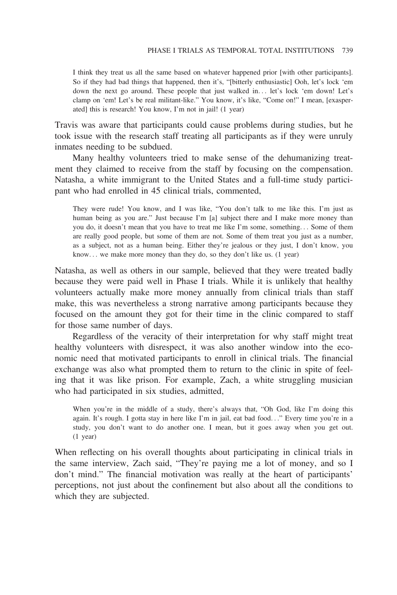I think they treat us all the same based on whatever happened prior [with other participants]. So if they had bad things that happened, then it's, "[bitterly enthusiastic] Ooh, let's lock 'em down the next go around. These people that just walked in... let's lock 'em down! Let's clamp on 'em! Let's be real militant-like." You know, it's like, "Come on!" I mean, [exasperated] this is research! You know, I'm not in jail! (1 year)

Travis was aware that participants could cause problems during studies, but he took issue with the research staff treating all participants as if they were unruly inmates needing to be subdued.

Many healthy volunteers tried to make sense of the dehumanizing treatment they claimed to receive from the staff by focusing on the compensation. Natasha, a white immigrant to the United States and a full-time study participant who had enrolled in 45 clinical trials, commented,

They were rude! You know, and I was like, "You don't talk to me like this. I'm just as human being as you are." Just because I'm [a] subject there and I make more money than you do, it doesn't mean that you have to treat me like I'm some, something... Some of them are really good people, but some of them are not. Some of them treat you just as a number, as a subject, not as a human being. Either they're jealous or they just, I don't know, you know... we make more money than they do, so they don't like us. (1 year)

Natasha, as well as others in our sample, believed that they were treated badly because they were paid well in Phase I trials. While it is unlikely that healthy volunteers actually make more money annually from clinical trials than staff make, this was nevertheless a strong narrative among participants because they focused on the amount they got for their time in the clinic compared to staff for those same number of days.

Regardless of the veracity of their interpretation for why staff might treat healthy volunteers with disrespect, it was also another window into the economic need that motivated participants to enroll in clinical trials. The financial exchange was also what prompted them to return to the clinic in spite of feeling that it was like prison. For example, Zach, a white struggling musician who had participated in six studies, admitted,

When you're in the middle of a study, there's always that, "Oh God, like I'm doing this again. It's rough. I gotta stay in here like I'm in jail, eat bad food..." Every time you're in a study, you don't want to do another one. I mean, but it goes away when you get out. (1 year)

When reflecting on his overall thoughts about participating in clinical trials in the same interview, Zach said, "They're paying me a lot of money, and so I don't mind." The financial motivation was really at the heart of participants' perceptions, not just about the confinement but also about all the conditions to which they are subjected.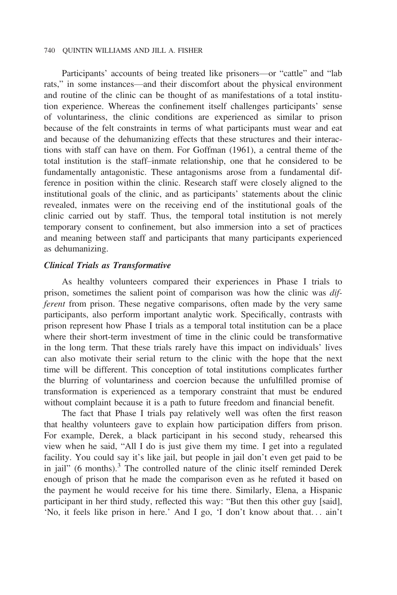Participants' accounts of being treated like prisoners—or "cattle" and "lab rats," in some instances—and their discomfort about the physical environment and routine of the clinic can be thought of as manifestations of a total institution experience. Whereas the confinement itself challenges participants' sense of voluntariness, the clinic conditions are experienced as similar to prison because of the felt constraints in terms of what participants must wear and eat and because of the dehumanizing effects that these structures and their interactions with staff can have on them. For Goffman (1961), a central theme of the total institution is the staff–inmate relationship, one that he considered to be fundamentally antagonistic. These antagonisms arose from a fundamental difference in position within the clinic. Research staff were closely aligned to the institutional goals of the clinic, and as participants' statements about the clinic revealed, inmates were on the receiving end of the institutional goals of the clinic carried out by staff. Thus, the temporal total institution is not merely temporary consent to confinement, but also immersion into a set of practices and meaning between staff and participants that many participants experienced as dehumanizing.

# Clinical Trials as Transformative

As healthy volunteers compared their experiences in Phase I trials to prison, sometimes the salient point of comparison was how the clinic was different from prison. These negative comparisons, often made by the very same participants, also perform important analytic work. Specifically, contrasts with prison represent how Phase I trials as a temporal total institution can be a place where their short-term investment of time in the clinic could be transformative in the long term. That these trials rarely have this impact on individuals' lives can also motivate their serial return to the clinic with the hope that the next time will be different. This conception of total institutions complicates further the blurring of voluntariness and coercion because the unfulfilled promise of transformation is experienced as a temporary constraint that must be endured without complaint because it is a path to future freedom and financial benefit.

The fact that Phase I trials pay relatively well was often the first reason that healthy volunteers gave to explain how participation differs from prison. For example, Derek, a black participant in his second study, rehearsed this view when he said, "All I do is just give them my time. I get into a regulated facility. You could say it's like jail, but people in jail don't even get paid to be in jail" (6 months). $3$  The controlled nature of the clinic itself reminded Derek enough of prison that he made the comparison even as he refuted it based on the payment he would receive for his time there. Similarly, Elena, a Hispanic participant in her third study, reflected this way: "But then this other guy [said], 'No, it feels like prison in here.' And I go, 'I don't know about that... ain't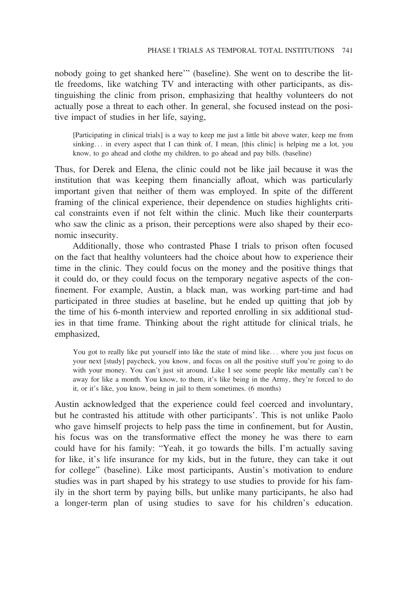nobody going to get shanked here'" (baseline). She went on to describe the little freedoms, like watching TV and interacting with other participants, as distinguishing the clinic from prison, emphasizing that healthy volunteers do not actually pose a threat to each other. In general, she focused instead on the positive impact of studies in her life, saying,

[Participating in clinical trials] is a way to keep me just a little bit above water, keep me from sinking... in every aspect that I can think of, I mean, [this clinic] is helping me a lot, you know, to go ahead and clothe my children, to go ahead and pay bills. (baseline)

Thus, for Derek and Elena, the clinic could not be like jail because it was the institution that was keeping them financially afloat, which was particularly important given that neither of them was employed. In spite of the different framing of the clinical experience, their dependence on studies highlights critical constraints even if not felt within the clinic. Much like their counterparts who saw the clinic as a prison, their perceptions were also shaped by their economic insecurity.

Additionally, those who contrasted Phase I trials to prison often focused on the fact that healthy volunteers had the choice about how to experience their time in the clinic. They could focus on the money and the positive things that it could do, or they could focus on the temporary negative aspects of the confinement. For example, Austin, a black man, was working part-time and had participated in three studies at baseline, but he ended up quitting that job by the time of his 6-month interview and reported enrolling in six additional studies in that time frame. Thinking about the right attitude for clinical trials, he emphasized,

You got to really like put yourself into like the state of mind like... where you just focus on your next [study] paycheck, you know, and focus on all the positive stuff you're going to do with your money. You can't just sit around. Like I see some people like mentally can't be away for like a month. You know, to them, it's like being in the Army, they're forced to do it, or it's like, you know, being in jail to them sometimes. (6 months)

Austin acknowledged that the experience could feel coerced and involuntary, but he contrasted his attitude with other participants'. This is not unlike Paolo who gave himself projects to help pass the time in confinement, but for Austin, his focus was on the transformative effect the money he was there to earn could have for his family: "Yeah, it go towards the bills. I'm actually saving for like, it's life insurance for my kids, but in the future, they can take it out for college" (baseline). Like most participants, Austin's motivation to endure studies was in part shaped by his strategy to use studies to provide for his family in the short term by paying bills, but unlike many participants, he also had a longer-term plan of using studies to save for his children's education.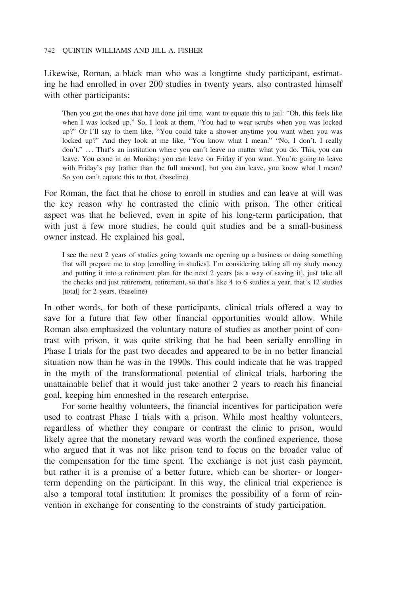Likewise, Roman, a black man who was a longtime study participant, estimating he had enrolled in over 200 studies in twenty years, also contrasted himself with other participants:

Then you got the ones that have done jail time, want to equate this to jail: "Oh, this feels like when I was locked up." So, I look at them, "You had to wear scrubs when you was locked up?" Or I'll say to them like, "You could take a shower anytime you want when you was locked up?" And they look at me like, "You know what I mean." "No, I don't. I really don't." ... That's an institution where you can't leave no matter what you do. This, you can leave. You come in on Monday; you can leave on Friday if you want. You're going to leave with Friday's pay [rather than the full amount], but you can leave, you know what I mean? So you can't equate this to that. (baseline)

For Roman, the fact that he chose to enroll in studies and can leave at will was the key reason why he contrasted the clinic with prison. The other critical aspect was that he believed, even in spite of his long-term participation, that with just a few more studies, he could quit studies and be a small-business owner instead. He explained his goal,

I see the next 2 years of studies going towards me opening up a business or doing something that will prepare me to stop [enrolling in studies]. I'm considering taking all my study money and putting it into a retirement plan for the next 2 years [as a way of saving it], just take all the checks and just retirement, retirement, so that's like 4 to 6 studies a year, that's 12 studies [total] for 2 years. (baseline)

In other words, for both of these participants, clinical trials offered a way to save for a future that few other financial opportunities would allow. While Roman also emphasized the voluntary nature of studies as another point of contrast with prison, it was quite striking that he had been serially enrolling in Phase I trials for the past two decades and appeared to be in no better financial situation now than he was in the 1990s. This could indicate that he was trapped in the myth of the transformational potential of clinical trials, harboring the unattainable belief that it would just take another 2 years to reach his financial goal, keeping him enmeshed in the research enterprise.

For some healthy volunteers, the financial incentives for participation were used to contrast Phase I trials with a prison. While most healthy volunteers, regardless of whether they compare or contrast the clinic to prison, would likely agree that the monetary reward was worth the confined experience, those who argued that it was not like prison tend to focus on the broader value of the compensation for the time spent. The exchange is not just cash payment, but rather it is a promise of a better future, which can be shorter- or longerterm depending on the participant. In this way, the clinical trial experience is also a temporal total institution: It promises the possibility of a form of reinvention in exchange for consenting to the constraints of study participation.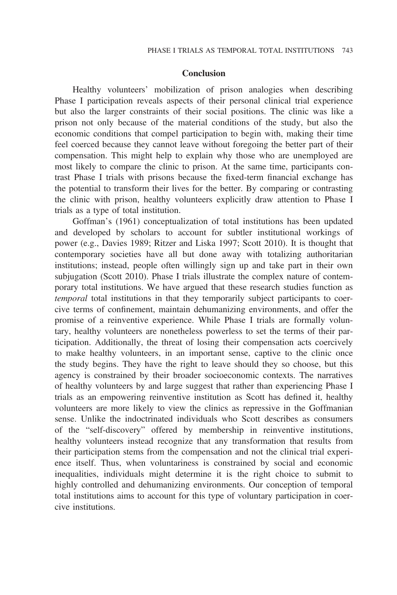# **Conclusion**

Healthy volunteers' mobilization of prison analogies when describing Phase I participation reveals aspects of their personal clinical trial experience but also the larger constraints of their social positions. The clinic was like a prison not only because of the material conditions of the study, but also the economic conditions that compel participation to begin with, making their time feel coerced because they cannot leave without foregoing the better part of their compensation. This might help to explain why those who are unemployed are most likely to compare the clinic to prison. At the same time, participants contrast Phase I trials with prisons because the fixed-term financial exchange has the potential to transform their lives for the better. By comparing or contrasting the clinic with prison, healthy volunteers explicitly draw attention to Phase I trials as a type of total institution.

Goffman's (1961) conceptualization of total institutions has been updated and developed by scholars to account for subtler institutional workings of power (e.g., Davies 1989; Ritzer and Liska 1997; Scott 2010). It is thought that contemporary societies have all but done away with totalizing authoritarian institutions; instead, people often willingly sign up and take part in their own subjugation (Scott 2010). Phase I trials illustrate the complex nature of contemporary total institutions. We have argued that these research studies function as temporal total institutions in that they temporarily subject participants to coercive terms of confinement, maintain dehumanizing environments, and offer the promise of a reinventive experience. While Phase I trials are formally voluntary, healthy volunteers are nonetheless powerless to set the terms of their participation. Additionally, the threat of losing their compensation acts coercively to make healthy volunteers, in an important sense, captive to the clinic once the study begins. They have the right to leave should they so choose, but this agency is constrained by their broader socioeconomic contexts. The narratives of healthy volunteers by and large suggest that rather than experiencing Phase I trials as an empowering reinventive institution as Scott has defined it, healthy volunteers are more likely to view the clinics as repressive in the Goffmanian sense. Unlike the indoctrinated individuals who Scott describes as consumers of the "self-discovery" offered by membership in reinventive institutions, healthy volunteers instead recognize that any transformation that results from their participation stems from the compensation and not the clinical trial experience itself. Thus, when voluntariness is constrained by social and economic inequalities, individuals might determine it is the right choice to submit to highly controlled and dehumanizing environments. Our conception of temporal total institutions aims to account for this type of voluntary participation in coercive institutions.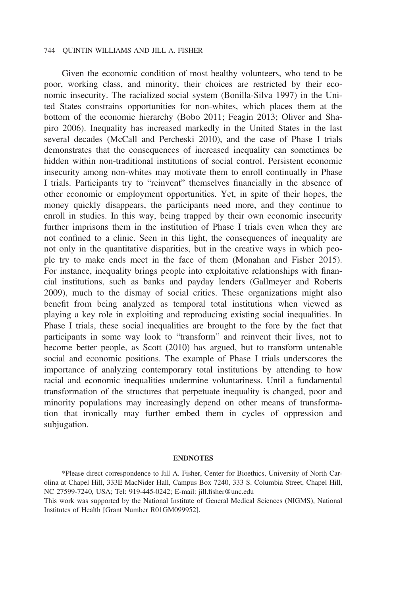Given the economic condition of most healthy volunteers, who tend to be poor, working class, and minority, their choices are restricted by their economic insecurity. The racialized social system (Bonilla-Silva 1997) in the United States constrains opportunities for non-whites, which places them at the bottom of the economic hierarchy (Bobo 2011; Feagin 2013; Oliver and Shapiro 2006). Inequality has increased markedly in the United States in the last several decades (McCall and Percheski 2010), and the case of Phase I trials demonstrates that the consequences of increased inequality can sometimes be hidden within non-traditional institutions of social control. Persistent economic insecurity among non-whites may motivate them to enroll continually in Phase I trials. Participants try to "reinvent" themselves financially in the absence of other economic or employment opportunities. Yet, in spite of their hopes, the money quickly disappears, the participants need more, and they continue to enroll in studies. In this way, being trapped by their own economic insecurity further imprisons them in the institution of Phase I trials even when they are not confined to a clinic. Seen in this light, the consequences of inequality are not only in the quantitative disparities, but in the creative ways in which people try to make ends meet in the face of them (Monahan and Fisher 2015). For instance, inequality brings people into exploitative relationships with financial institutions, such as banks and payday lenders (Gallmeyer and Roberts 2009), much to the dismay of social critics. These organizations might also benefit from being analyzed as temporal total institutions when viewed as playing a key role in exploiting and reproducing existing social inequalities. In Phase I trials, these social inequalities are brought to the fore by the fact that participants in some way look to "transform" and reinvent their lives, not to become better people, as Scott (2010) has argued, but to transform untenable social and economic positions. The example of Phase I trials underscores the importance of analyzing contemporary total institutions by attending to how racial and economic inequalities undermine voluntariness. Until a fundamental transformation of the structures that perpetuate inequality is changed, poor and minority populations may increasingly depend on other means of transformation that ironically may further embed them in cycles of oppression and subjugation.

### ENDNOTES

<sup>\*</sup>Please direct correspondence to Jill A. Fisher, Center for Bioethics, University of North Carolina at Chapel Hill, 333E MacNider Hall, Campus Box 7240, 333 S. Columbia Street, Chapel Hill, NC 27599-7240, USA; Tel: 919-445-0242; E-mail: jill.fisher@unc.edu

This work was supported by the National Institute of General Medical Sciences (NIGMS), National Institutes of Health [Grant Number R01GM099952].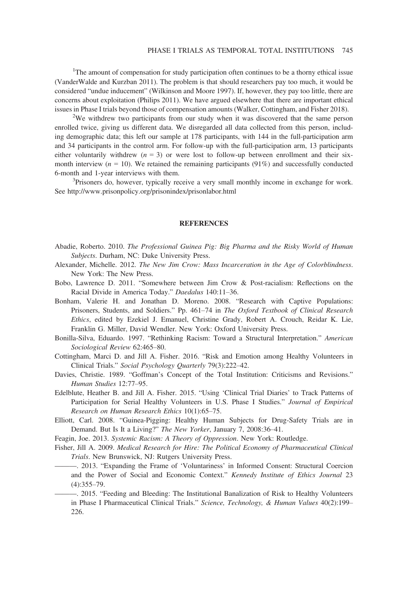<sup>1</sup>The amount of compensation for study participation often continues to be a thorny ethical issue (VanderWalde and Kurzban 2011). The problem is that should researchers pay too much, it would be considered "undue inducement" (Wilkinson and Moore 1997). If, however, they pay too little, there are concerns about exploitation (Philips 2011). We have argued elsewhere that there are important ethical issues in Phase I trials beyond those of compensation amounts (Walker, Cottingham, and Fisher 2018). <sup>2</sup>

<sup>2</sup>We withdrew two participants from our study when it was discovered that the same person enrolled twice, giving us different data. We disregarded all data collected from this person, including demographic data; this left our sample at 178 participants, with 144 in the full-participation arm and 34 participants in the control arm. For follow-up with the full-participation arm, 13 participants either voluntarily withdrew  $(n = 3)$  or were lost to follow-up between enrollment and their sixmonth interview  $(n = 10)$ . We retained the remaining participants (91%) and successfully conducted 6-month and 1-year interviews with them.

<sup>3</sup>Prisoners do, however, typically receive a very small monthly income in exchange for work. See<http://www.prisonpolicy.org/prisonindex/prisonlabor.html>

#### **REFERENCES**

- Abadie, Roberto. 2010. The Professional Guinea Pig: Big Pharma and the Risky World of Human Subjects. Durham, NC: Duke University Press.
- Alexander, Michelle. 2012. The New Jim Crow: Mass Incarceration in the Age of Colorblindness. New York: The New Press.
- Bobo, Lawrence D. 2011. "Somewhere between Jim Crow & Post-racialism: Reflections on the Racial Divide in America Today." Daedalus 140:11–36.
- Bonham, Valerie H. and Jonathan D. Moreno. 2008. "Research with Captive Populations: Prisoners, Students, and Soldiers." Pp. 461-74 in The Oxford Textbook of Clinical Research Ethics, edited by Ezekiel J. Emanuel, Christine Grady, Robert A. Crouch, Reidar K. Lie, Franklin G. Miller, David Wendler. New York: Oxford University Press.
- Bonilla-Silva, Eduardo. 1997. "Rethinking Racism: Toward a Structural Interpretation." American Sociological Review 62:465–80.
- Cottingham, Marci D. and Jill A. Fisher. 2016. "Risk and Emotion among Healthy Volunteers in Clinical Trials." Social Psychology Quarterly 79(3):222–42.
- Davies, Christie. 1989. "Goffman's Concept of the Total Institution: Criticisms and Revisions." Human Studies 12:77–95.
- Edelblute, Heather B. and Jill A. Fisher. 2015. "Using 'Clinical Trial Diaries' to Track Patterns of Participation for Serial Healthy Volunteers in U.S. Phase I Studies." Journal of Empirical Research on Human Research Ethics 10(1):65–75.
- Elliott, Carl. 2008. "Guinea-Pigging: Healthy Human Subjects for Drug-Safety Trials are in Demand. But Is It a Living?" The New Yorker, January 7, 2008:36–41.
- Feagin, Joe. 2013. Systemic Racism: A Theory of Oppression. New York: Routledge.
- Fisher, Jill A. 2009. Medical Research for Hire: The Political Economy of Pharmaceutical Clinical Trials. New Brunswick, NJ: Rutgers University Press.
	- ———. 2013. "Expanding the Frame of 'Voluntariness' in Informed Consent: Structural Coercion and the Power of Social and Economic Context." Kennedy Institute of Ethics Journal 23 (4):355–79.
	- ———. 2015. "Feeding and Bleeding: The Institutional Banalization of Risk to Healthy Volunteers in Phase I Pharmaceutical Clinical Trials." Science, Technology, & Human Values 40(2):199– 226.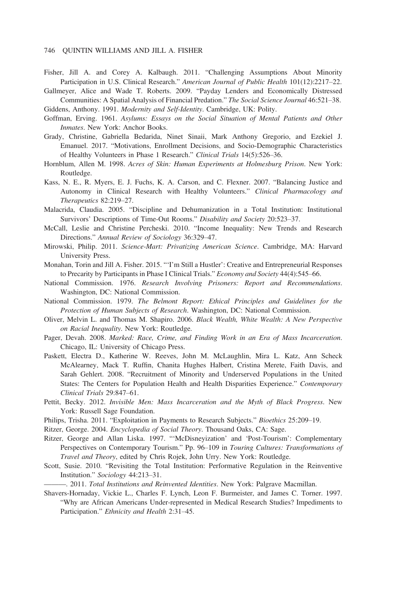- Fisher, Jill A. and Corey A. Kalbaugh. 2011. "Challenging Assumptions About Minority Participation in U.S. Clinical Research." American Journal of Public Health 101(12):2217–22.
- Gallmeyer, Alice and Wade T. Roberts. 2009. "Payday Lenders and Economically Distressed Communities: A Spatial Analysis of Financial Predation." The Social Science Journal 46:521–38.

Giddens, Anthony. 1991. Modernity and Self-Identity. Cambridge, UK: Polity.

- Goffman, Erving. 1961. Asylums: Essays on the Social Situation of Mental Patients and Other Inmates. New York: Anchor Books.
- Grady, Christine, Gabriella Bedarida, Ninet Sinaii, Mark Anthony Gregorio, and Ezekiel J. Emanuel. 2017. "Motivations, Enrollment Decisions, and Socio-Demographic Characteristics of Healthy Volunteers in Phase 1 Research." Clinical Trials 14(5):526-36.
- Hornblum, Allen M. 1998. Acres of Skin: Human Experiments at Holmesburg Prison. New York: Routledge.
- Kass, N. E., R. Myers, E. J. Fuchs, K. A. Carson, and C. Flexner. 2007. "Balancing Justice and Autonomy in Clinical Research with Healthy Volunteers." Clinical Pharmacology and Therapeutics 82:219–27.
- Malacrida, Claudia. 2005. "Discipline and Dehumanization in a Total Institution: Institutional Survivors' Descriptions of Time-Out Rooms." Disability and Society 20:523-37.
- McCall, Leslie and Christine Percheski. 2010. "Income Inequality: New Trends and Research Directions." Annual Review of Sociology 36:329–47.
- Mirowski, Philip. 2011. Science-Mart: Privatizing American Science. Cambridge, MA: Harvard University Press.
- Monahan, Torin and Jill A. Fisher. 2015. "'I'm Still a Hustler': Creative and Entrepreneurial Responses to Precarity by Participants in Phase I Clinical Trials." Economy and Society 44(4):545-66.
- National Commission. 1976. Research Involving Prisoners: Report and Recommendations. Washington, DC: National Commission.
- National Commission. 1979. The Belmont Report: Ethical Principles and Guidelines for the Protection of Human Subjects of Research. Washington, DC: National Commission.
- Oliver, Melvin L. and Thomas M. Shapiro. 2006. Black Wealth, White Wealth: A New Perspective on Racial Inequality. New York: Routledge.
- Pager, Devah. 2008. Marked: Race, Crime, and Finding Work in an Era of Mass Incarceration. Chicago, IL: University of Chicago Press.
- Paskett, Electra D., Katherine W. Reeves, John M. McLaughlin, Mira L. Katz, Ann Scheck McAlearney, Mack T. Ruffin, Chanita Hughes Halbert, Cristina Merete, Faith Davis, and Sarah Gehlert. 2008. "Recruitment of Minority and Underserved Populations in the United States: The Centers for Population Health and Health Disparities Experience." Contemporary Clinical Trials 29:847–61.
- Pettit, Becky. 2012. Invisible Men: Mass Incarceration and the Myth of Black Progress. New York: Russell Sage Foundation.
- Philips, Trisha. 2011. "Exploitation in Payments to Research Subjects." Bioethics 25:209–19.

Ritzer, George. 2004. Encyclopedia of Social Theory. Thousand Oaks, CA: Sage.

- Ritzer, George and Allan Liska. 1997. "'McDisneyization' and 'Post-Tourism': Complementary Perspectives on Contemporary Tourism." Pp. 96-109 in Touring Cultures: Transformations of Travel and Theory, edited by Chris Rojek, John Urry. New York: Routledge.
- Scott, Susie. 2010. "Revisiting the Total Institution: Performative Regulation in the Reinventive Institution." Sociology 44:213–31.

-. 2011. Total Institutions and Reinvented Identities. New York: Palgrave Macmillan.

Shavers-Hornaday, Vickie L., Charles F. Lynch, Leon F. Burmeister, and James C. Torner. 1997. "Why are African Americans Under-represented in Medical Research Studies? Impediments to Participation." Ethnicity and Health 2:31–45.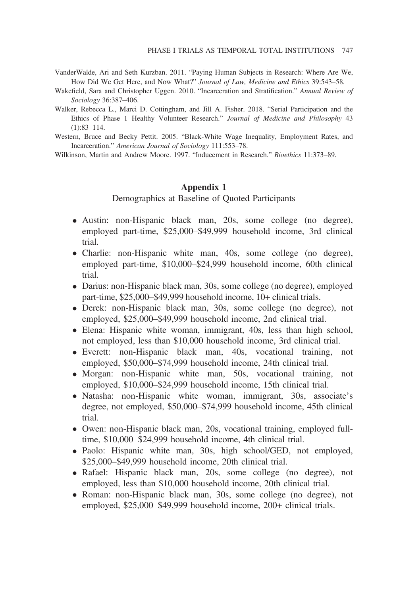- VanderWalde, Ari and Seth Kurzban. 2011. "Paying Human Subjects in Research: Where Are We, How Did We Get Here, and Now What?" Journal of Law, Medicine and Ethics 39:543–58.
- Wakefield, Sara and Christopher Uggen. 2010. "Incarceration and Stratification." Annual Review of Sociology 36:387–406.
- Walker, Rebecca L., Marci D. Cottingham, and Jill A. Fisher. 2018. "Serial Participation and the Ethics of Phase 1 Healthy Volunteer Research." Journal of Medicine and Philosophy 43 (1):83–114.
- Western, Bruce and Becky Pettit. 2005. "Black-White Wage Inequality, Employment Rates, and Incarceration." American Journal of Sociology 111:553–78.

Wilkinson, Martin and Andrew Moore. 1997. "Inducement in Research." Bioethics 11:373–89.

## Appendix 1

Demographics at Baseline of Quoted Participants

- Austin: non-Hispanic black man, 20s, some college (no degree), employed part-time, \$25,000–\$49,999 household income, 3rd clinical trial.
- Charlie: non-Hispanic white man, 40s, some college (no degree), employed part-time, \$10,000–\$24,999 household income, 60th clinical trial.
- Darius: non-Hispanic black man, 30s, some college (no degree), employed part-time, \$25,000–\$49,999 household income, 10+ clinical trials.
- Derek: non-Hispanic black man, 30s, some college (no degree), not employed, \$25,000–\$49,999 household income, 2nd clinical trial.
- Elena: Hispanic white woman, immigrant, 40s, less than high school, not employed, less than \$10,000 household income, 3rd clinical trial.
- Everett: non-Hispanic black man, 40s, vocational training, not employed, \$50,000–\$74,999 household income, 24th clinical trial.
- Morgan: non-Hispanic white man, 50s, vocational training, not employed, \$10,000–\$24,999 household income, 15th clinical trial.
- Natasha: non-Hispanic white woman, immigrant, 30s, associate'<sup>s</sup> degree, not employed, \$50,000–\$74,999 household income, 45th clinical trial.
- Owen: non-Hispanic black man, 20s, vocational training, employed fulltime, \$10,000–\$24,999 household income, 4th clinical trial.
- Paolo: Hispanic white man, 30s, high school/GED, not employed, \$25,000–\$49,999 household income, 20th clinical trial.
- Rafael: Hispanic black man, 20s, some college (no degree), not employed, less than \$10,000 household income, 20th clinical trial.
- Roman: non-Hispanic black man, 30s, some college (no degree), not employed, \$25,000–\$49,999 household income, 200+ clinical trials.